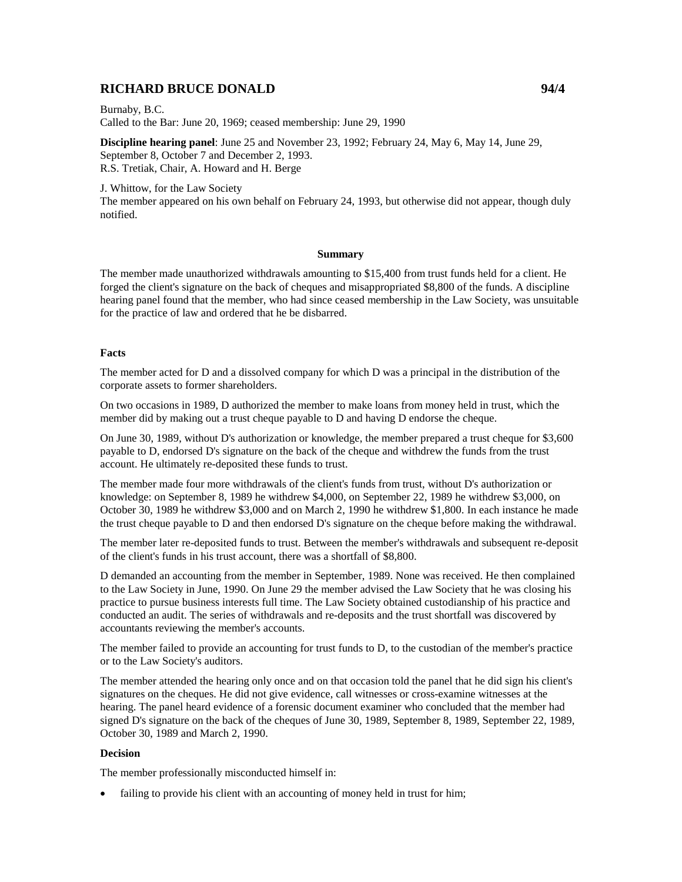# **RICHARD BRUCE DONALD 94/4**

Burnaby, B.C. Called to the Bar: June 20, 1969; ceased membership: June 29, 1990

**Discipline hearing panel**: June 25 and November 23, 1992; February 24, May 6, May 14, June 29, September 8, October 7 and December 2, 1993. R.S. Tretiak, Chair, A. Howard and H. Berge

J. Whittow, for the Law Society The member appeared on his own behalf on February 24, 1993, but otherwise did not appear, though duly notified.

#### **Summary**

The member made unauthorized withdrawals amounting to \$15,400 from trust funds held for a client. He forged the client's signature on the back of cheques and misappropriated \$8,800 of the funds. A discipline hearing panel found that the member, who had since ceased membership in the Law Society, was unsuitable for the practice of law and ordered that he be disbarred.

#### **Facts**

The member acted for D and a dissolved company for which D was a principal in the distribution of the corporate assets to former shareholders.

On two occasions in 1989, D authorized the member to make loans from money held in trust, which the member did by making out a trust cheque payable to D and having D endorse the cheque.

On June 30, 1989, without D's authorization or knowledge, the member prepared a trust cheque for \$3,600 payable to D, endorsed D's signature on the back of the cheque and withdrew the funds from the trust account. He ultimately re-deposited these funds to trust.

The member made four more withdrawals of the client's funds from trust, without D's authorization or knowledge: on September 8, 1989 he withdrew \$4,000, on September 22, 1989 he withdrew \$3,000, on October 30, 1989 he withdrew \$3,000 and on March 2, 1990 he withdrew \$1,800. In each instance he made the trust cheque payable to D and then endorsed D's signature on the cheque before making the withdrawal.

The member later re-deposited funds to trust. Between the member's withdrawals and subsequent re-deposit of the client's funds in his trust account, there was a shortfall of \$8,800.

D demanded an accounting from the member in September, 1989. None was received. He then complained to the Law Society in June, 1990. On June 29 the member advised the Law Society that he was closing his practice to pursue business interests full time. The Law Society obtained custodianship of his practice and conducted an audit. The series of withdrawals and re-deposits and the trust shortfall was discovered by accountants reviewing the member's accounts.

The member failed to provide an accounting for trust funds to D, to the custodian of the member's practice or to the Law Society's auditors.

The member attended the hearing only once and on that occasion told the panel that he did sign his client's signatures on the cheques. He did not give evidence, call witnesses or cross-examine witnesses at the hearing. The panel heard evidence of a forensic document examiner who concluded that the member had signed D's signature on the back of the cheques of June 30, 1989, September 8, 1989, September 22, 1989, October 30, 1989 and March 2, 1990.

### **Decision**

The member professionally misconducted himself in:

failing to provide his client with an accounting of money held in trust for him;